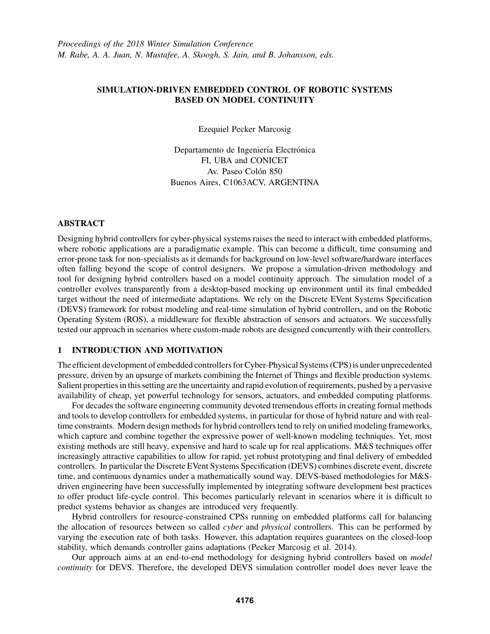## SIMULATION-DRIVEN EMBEDDED CONTROL OF ROBOTIC SYSTEMS BASED ON MODEL CONTINUITY

Ezequiel Pecker Marcosig

Departamento de Ingeniería Electrónica FI, UBA and CONICET Av. Paseo Colón 850 Buenos Aires, C1063ACV, ARGENTINA

### ABSTRACT

Designing hybrid controllers for cyber-physical systems raises the need to interact with embedded platforms, where robotic applications are a paradigmatic example. This can become a difficult, time consuming and error-prone task for non-specialists as it demands for background on low-level software/hardware interfaces often falling beyond the scope of control designers. We propose a simulation-driven methodology and tool for designing hybrid controllers based on a model continuity approach. The simulation model of a controller evolves transparently from a desktop-based mocking up environment until its final embedded target without the need of intermediate adaptations. We rely on the Discrete EVent Systems Specification (DEVS) framework for robust modeling and real-time simulation of hybrid controllers, and on the Robotic Operating System (ROS), a middleware for flexible abstraction of sensors and actuators. We successfully tested our approach in scenarios where custom-made robots are designed concurrently with their controllers.

# 1 INTRODUCTION AND MOTIVATION

The efficient development of embedded controllers for Cyber-Physical Systems (CPS) is under unprecedented pressure, driven by an upsurge of markets combining the Internet of Things and flexible production systems. Salient properties in this setting are the uncertainty and rapid evolution of requirements, pushed by a pervasive availability of cheap, yet powerful technology for sensors, actuators, and embedded computing platforms.

For decades the software engineering community devoted tremendous efforts in creating formal methods and tools to develop controllers for embedded systems, in particular for those of hybrid nature and with realtime constraints. Modern design methods for hybrid controllers tend to rely on unified modeling frameworks, which capture and combine together the expressive power of well-known modeling techniques. Yet, most existing methods are still heavy, expensive and hard to scale up for real applications. M&S techniques offer increasingly attractive capabilities to allow for rapid, yet robust prototyping and final delivery of embedded controllers. In particular the Discrete EVent Systems Specification (DEVS) combines discrete event, discrete time, and continuous dynamics under a mathematically sound way. DEVS-based methodologies for M&Sdriven engineering have been successfully implemented by integrating software development best practices to offer product life-cycle control. This becomes particularly relevant in scenarios where it is difficult to predict systems behavior as changes are introduced very frequently.

Hybrid controllers for resource-constrained CPSs running on embedded platforms call for balancing the allocation of resources between so called *cyber* and *physical* controllers. This can be performed by varying the execution rate of both tasks. However, this adaptation requires guarantees on the closed-loop stability, which demands controller gains adaptations (Pecker Marcosig et al. 2014).

Our approach aims at an end-to-end methodology for designing hybrid controllers based on *model continuity* for DEVS. Therefore, the developed DEVS simulation controller model does never leave the